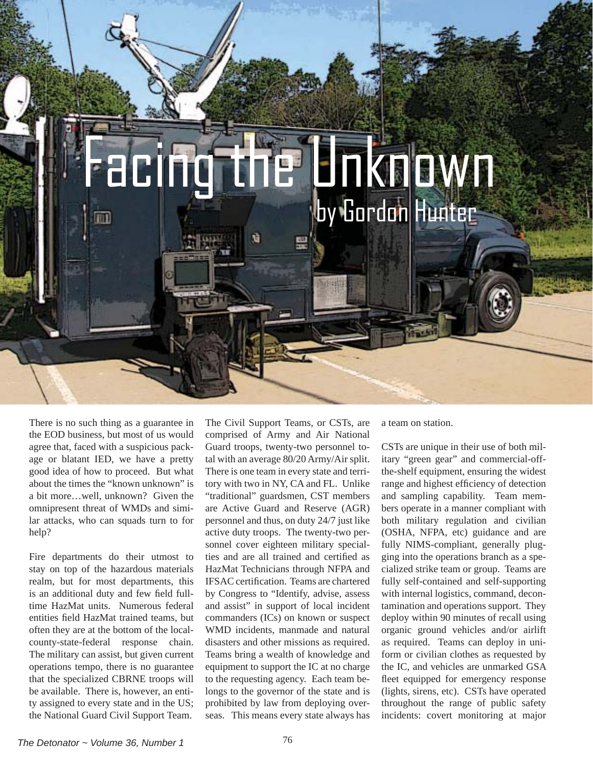

There is no such thing as a guarantee in the EOD business, but most of us would agree that, faced with a suspicious package or blatant IED, we have a pretty good idea of how to proceed. But what about the times the "known unknown" is a bit more…well, unknown? Given the omnipresent threat of WMDs and similar attacks, who can squads turn to for help?

Fire departments do their utmost to stay on top of the hazardous materials realm, but for most departments, this is an additional duty and few field fulltime HazMat units. Numerous federal entities field HazMat trained teams, but often they are at the bottom of the localcounty-state-federal response chain. The military can assist, but given current operations tempo, there is no guarantee that the specialized CBRNE troops will be available. There is, however, an entity assigned to every state and in the US; the National Guard Civil Support Team.

The Civil Support Teams, or CSTs, are comprised of Army and Air National Guard troops, twenty-two personnel total with an average 80/20 Army/Air split. There is one team in every state and territory with two in NY, CA and FL. Unlike "traditional" guardsmen, CST members are Active Guard and Reserve (AGR) personnel and thus, on duty 24/7 just like active duty troops. The twenty-two personnel cover eighteen military specialties and are all trained and certified as HazMat Technicians through NFPA and IFSAC certification. Teams are chartered by Congress to "Identify, advise, assess and assist" in support of local incident commanders (ICs) on known or suspect WMD incidents, manmade and natural disasters and other missions as required. Teams bring a wealth of knowledge and equipment to support the IC at no charge to the requesting agency. Each team belongs to the governor of the state and is prohibited by law from deploying overseas. This means every state always has

a team on station.

CSTs are unique in their use of both military "green gear" and commercial-offthe-shelf equipment, ensuring the widest range and highest efficiency of detection and sampling capability. Team members operate in a manner compliant with both military regulation and civilian (OSHA, NFPA, etc) guidance and are fully NIMS-compliant, generally plugging into the operations branch as a specialized strike team or group. Teams are fully self-contained and self-supporting with internal logistics, command, decontamination and operations support. They deploy within 90 minutes of recall using organic ground vehicles and/or airlift as required. Teams can deploy in uniform or civilian clothes as requested by the IC, and vehicles are unmarked GSA fleet equipped for emergency response (lights, sirens, etc). CSTs have operated throughout the range of public safety incidents: covert monitoring at major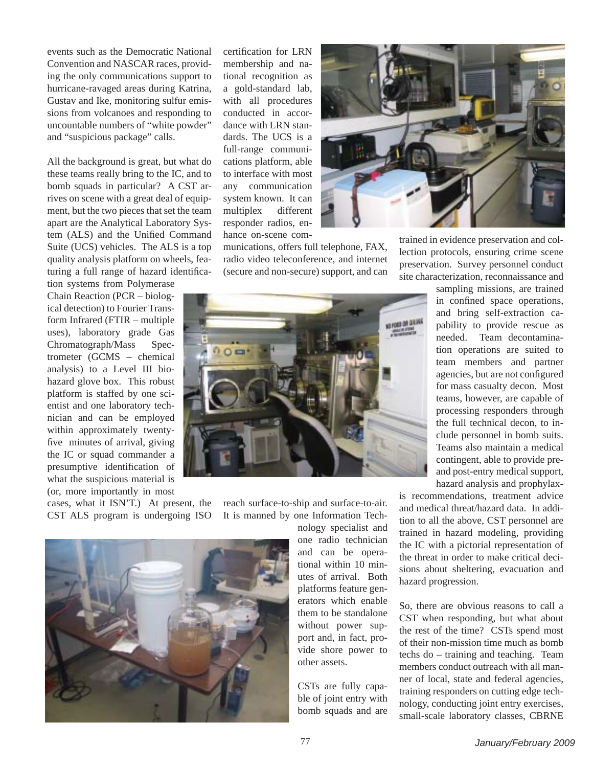events such as the Democratic National Convention and NASCAR races, providing the only communications support to hurricane-ravaged areas during Katrina, Gustav and Ike, monitoring sulfur emissions from volcanoes and responding to uncountable numbers of "white powder" and "suspicious package" calls.

All the background is great, but what do these teams really bring to the IC, and to bomb squads in particular? A CST arrives on scene with a great deal of equipment, but the two pieces that set the team apart are the Analytical Laboratory System (ALS) and the Unified Command Suite (UCS) vehicles. The ALS is a top quality analysis platform on wheels, featuring a full range of hazard identifica-

tion systems from Polymerase Chain Reaction (PCR – biological detection) to Fourier Transform Infrared (FTIR – multiple uses), laboratory grade Gas Chromatograph/Mass Spectrometer (GCMS – chemical analysis) to a Level III biohazard glove box. This robust platform is staffed by one scientist and one laboratory technician and can be employed within approximately twentyfive minutes of arrival, giving the IC or squad commander a presumptive identification of what the suspicious material is (or, more importantly in most

cases, what it ISN'T.) At present, the CST ALS program is undergoing ISO certification for LRN membership and national recognition as a gold-standard lab, with all procedures conducted in accordance with LRN standards. The UCS is a full-range communications platform, able to interface with most any communication system known. It can multiplex different responder radios, enhance on-scene com-





trained in evidence preservation and collection protocols, ensuring crime scene preservation. Survey personnel conduct site characterization, reconnaissance and



sampling missions, are trained in confined space operations, and bring self-extraction capability to provide rescue as needed. Team decontamination operations are suited to team members and partner agencies, but are not configured for mass casualty decon. Most teams, however, are capable of processing responders through the full technical decon, to include personnel in bomb suits. Teams also maintain a medical contingent, able to provide preand post-entry medical support, hazard analysis and prophylax-

is recommendations, treatment advice and medical threat/hazard data. In addition to all the above, CST personnel are trained in hazard modeling, providing the IC with a pictorial representation of the threat in order to make critical decisions about sheltering, evacuation and hazard progression.

So, there are obvious reasons to call a CST when responding, but what about the rest of the time? CSTs spend most of their non-mission time much as bomb techs do – training and teaching. Team members conduct outreach with all manner of local, state and federal agencies, training responders on cutting edge technology, conducting joint entry exercises, small-scale laboratory classes, CBRNE



reach surface-to-ship and surface-to-air. It is manned by one Information Tech-

> nology specialist and one radio technician and can be operational within 10 minutes of arrival. Both platforms feature generators which enable them to be standalone without power support and, in fact, provide shore power to other assets.

CSTs are fully capable of joint entry with bomb squads and are